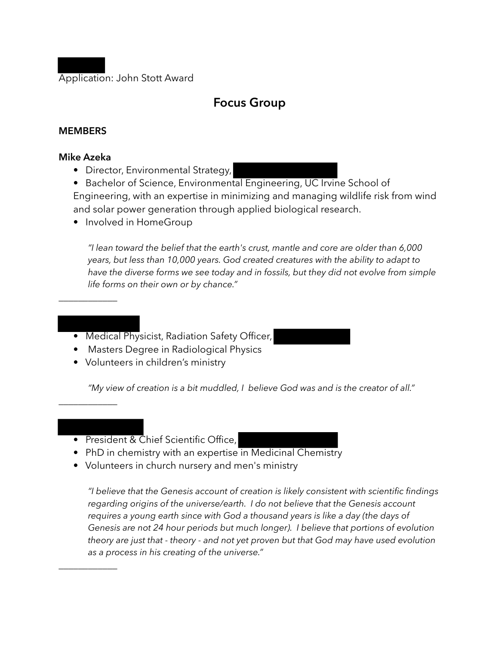Application: John Stott Award

# **Focus Group**

### **MEMBERS**

### **Mike Azeka**

 $\overline{\phantom{a}}$  , where  $\overline{\phantom{a}}$ 

• Director, Environmental Strategy,

• Bachelor of Science, Environmental Engineering, UC Irvine School of Engineering, with an expertise in minimizing and managing wildlife risk from wind and solar power generation through applied biological research.

• Involved in HomeGroup

*"I lean toward the belief that the earth's crust, mantle and core are older than 6,000 years, but less than 10,000 years. God created creatures with the ability to adapt to have the diverse forms we see today and in fossils, but they did not evolve from simple life forms on their own or by chance."* 

- Medical Physicist, Radiation Safety Officer,
- Masters Degree in Radiological Physics
- Volunteers in children's ministry

*"My view of creation is a bit muddled, I believe God was and is the creator of all."* 

*\_\_\_\_\_\_\_\_\_\_\_\_* 

*\_\_\_\_\_\_\_\_\_\_\_\_* 

- President & Chief Scientific Office,
- PhD in chemistry with an expertise in Medicinal Chemistry
- Volunteers in church nursery and men's ministry

*"I believe that the Genesis account of creation is likely consistent with scientific findings regarding origins of the universe/earth. I do not believe that the Genesis account requires a young earth since with God a thousand years is like a day (the days of Genesis are not 24 hour periods but much longer). I believe that portions of evolution theory are just that - theory - and not yet proven but that God may have used evolution as a process in his creating of the universe."*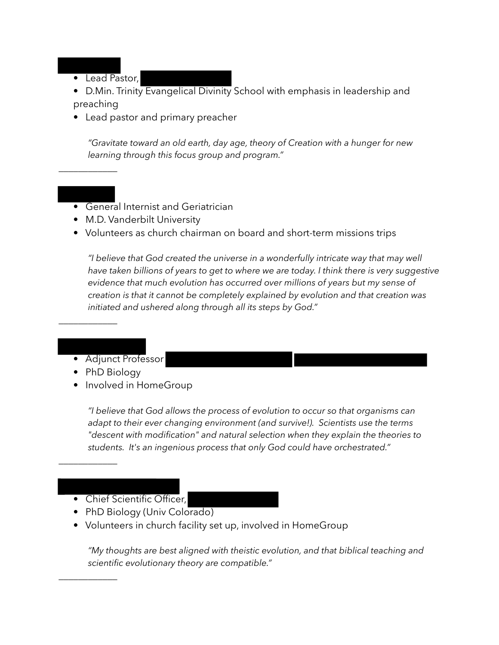• Lead Pastor,

*\_\_\_\_\_\_\_\_\_\_\_\_* 

- D.Min. Trinity Evangelical Divinity School with emphasis in leadership and preaching
- Lead pastor and primary preacher

*"Gravitate toward an old earth, day age, theory of Creation with a hunger for new learning through this focus group and program."*

- General Internist and Geriatrician
- M.D. Vanderbilt University
- Volunteers as church chairman on board and short-term missions trips

*"I believe that God created the universe in a wonderfully intricate way that may well have taken billions of years to get to where we are today. I think there is very suggestive evidence that much evolution has occurred over millions of years but my sense of creation is that it cannot be completely explained by evolution and that creation was initiated and ushered along through all its steps by God."* 

- Adjunct Professor
- PhD Biology

*\_\_\_\_\_\_\_\_\_\_\_\_* 

*\_\_\_\_\_\_\_\_\_\_\_\_* 

*\_\_\_\_\_\_\_\_\_\_\_\_* 

• Involved in HomeGroup

*"I believe that God allows the process of evolution to occur so that organisms can adapt to their ever changing environment (and survive!). Scientists use the terms "descent with modification" and natural selection when they explain the theories to students. It's an ingenious process that only God could have orchestrated."*

- Chief Scientific Officer,
- PhD Biology (Univ Colorado)
- Volunteers in church facility set up, involved in HomeGroup

*"My thoughts are best aligned with theistic evolution, and that biblical teaching and scientific evolutionary theory are compatible."*